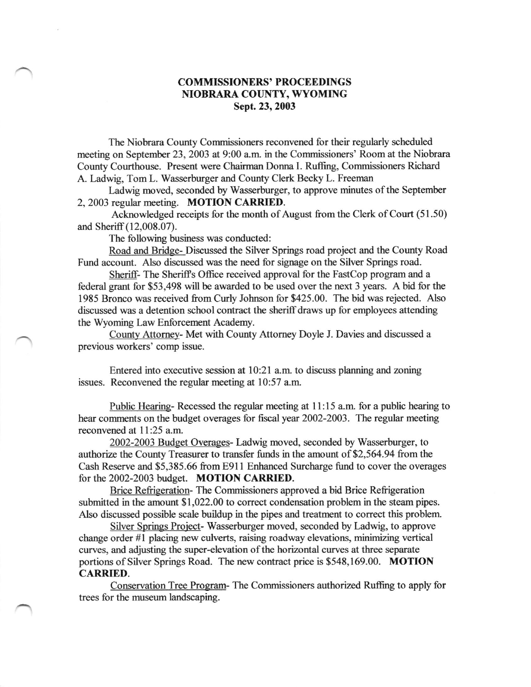## COMMISSIONERS' PROCEEDINGS NIOBRARA COUNTY, WYOMING Sept. 23,2003

The Niobrara County Commissioners reconvened for their regularly scheduled meeting on September 23, 2003 at 9:00 a.m. in the Commissioners' Room at the Niobrara County Courthouse. Present were Chairman Dorma I. Ruffing, Commissioners Richard A. Ladwig, Tom L. Wasserburger and County Clerk Becky L. Freeman

Ladwig moved, seconded by Wasserburger, to approve minutes of the September 2, 2003 regular meeting. MOTION CARRIED.

Acknowledged receipts for the month of August from the Clerk of Court (51.50) and Sheriff (12,008.07).

The following business was conducted:

Road and Bridge- Discussed the Silver Springs road project and the County Road Fund account. Also discussed was the need for signage on the Silver Springs road.

Sheriff- The Sheriffs Office received approval for the FastCop program and a federal grant for \$53,498 will be awarded to be used over the next 3 years. A bid for the 1985 Bronco was received from Curly Johnson for \$425.00. The bid was rejected. Also discussed was a detention school contract the sheriff draws up for employees attending the Wyoming Law Enforcement Academy.

County Attomey- Met with County Attomey Doyle J. Davies and discussed a previous workers' comp issue.

Entered into executive session at 10:21 a.m. to discuss planning and zoning issues. Reconvened the regular meeting at 10:57 a.m.

Public Hearing-Recessed the regular meeting at 11:15 a.m. for a public hearing to hear comments on the budget overages for fiscal year 2002-2003. The regular meeting reconvened at 11:25 a.m.

2002-2003 Budget Overages- Ladwig moved, seconded by Wasserburger, to authorize the County Treasurer to transfer funds in the amount of \$2,564.94 from the Cash Reserve and \$5,385.66 from E91l Enhanced Surcharge firnd to cover the overages for the 2002-2003 budget. MOTION CARRIED.

Brice Refrigeration- The Commissioners approved a bid Brice Refrigeration submitted in the amount \$1,022.00 to correct condensation problem in the steam pipes. Also discussed possible scale buildup in the pipes and treatment to correct this problem.

Silver Sorings Project- Wasserburger moved, seconded by Ladwig, to approve change order #1 placing new culverts, raising roadway elevations, minimizing vertical curves, and adjusting the super-elevation of the horizontal curves at three separate portions of Silver Springs Road. The new contract price is \$548,169.00. MOTION CARRIED.

Conservation Tree Program- The Commissioners authorized Ruffing to apply for trees for the museum landscaping.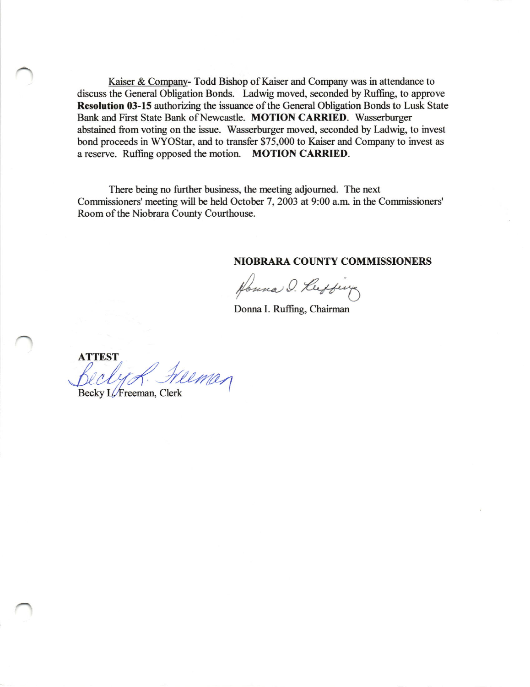Kaiser & Company-Todd Bishop of Kaiser and Company was in attendance to discuss the General Obligation Bonds. Ladwig moved, seconded by Ruffing, to approve Resolution 03-15 authorizing the issuance of the General Obligation Bonds to Lusk State Bank and First State Bank of Newcastle. MOTION CARRIED. Wasserburger abstained from voting on the issue. Wasserburger moved, seconded by Ladwig, to invest bond proceeds in WYOStar, and to transfer \$75,000 to Kaiser and Company to invest as a reserve. Ruffing opposed the motion. MOTION CARRIED.

There being no further business, the meeting adjourned. The next Commissioners' meeting will be held October 7, 2003 at 9:00 a.m. in the Commissioners' Room of the Niobrara County Courthouse.

## **NIOBRARA COUNTY COMMISSIONERS**

Houna O. Luffing

Donna I. Ruffing, Chairman

**ATTEST** Weman

Becky L/Freeman, Clerk